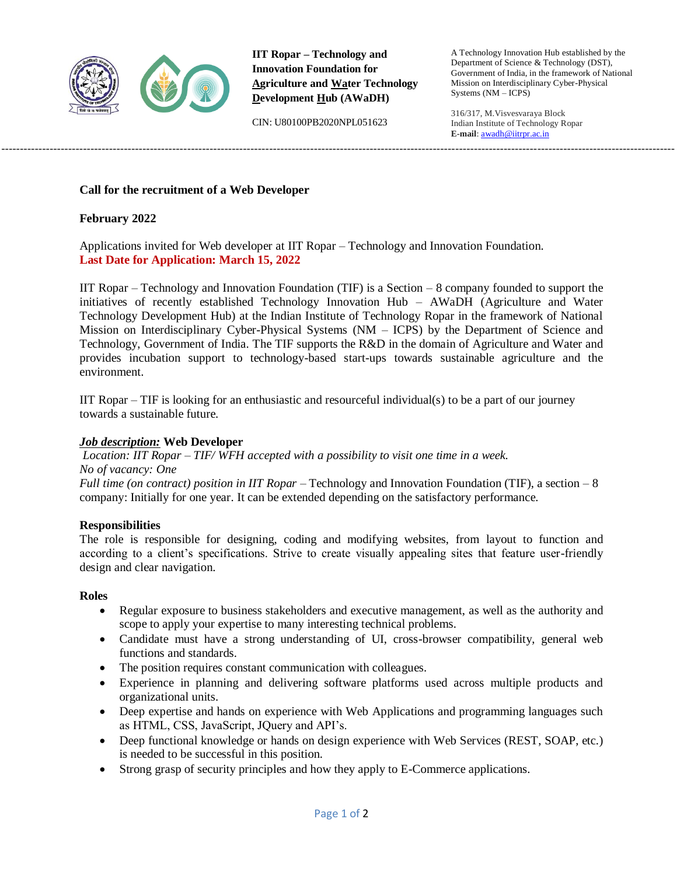

**IIT Ropar – Technology and Innovation Foundation for Agriculture and Water Technology Development Hub (AWaDH)**

-------------------------------------------------------------------------------------------------------------------------------------------------------------------------------------

CIN: U80100PB2020NPL051623

A Technology Innovation Hub established by the Department of Science & Technology (DST), Government of India, in the framework of National Mission on Interdisciplinary Cyber-Physical Systems (NM – ICPS)

316/317, M.Visvesvaraya Block Indian Institute of Technology Ropar **E-mail**: [awadh@iitrpr.ac.in](mailto:awadh@iitrpr.ac.in)

### **Call for the recruitment of a Web Developer**

### **February 2022**

Applications invited for Web developer at IIT Ropar – Technology and Innovation Foundation. **Last Date for Application: March 15, 2022**

IIT Ropar – Technology and Innovation Foundation (TIF) is a Section – 8 company founded to support the initiatives of recently established Technology Innovation Hub – AWaDH (Agriculture and Water Technology Development Hub) at the Indian Institute of Technology Ropar in the framework of National Mission on Interdisciplinary Cyber-Physical Systems (NM – ICPS) by the Department of Science and Technology, Government of India. The TIF supports the R&D in the domain of Agriculture and Water and provides incubation support to technology-based start-ups towards sustainable agriculture and the environment.

IIT Ropar – TIF is looking for an enthusiastic and resourceful individual(s) to be a part of our journey towards a sustainable future.

#### *Job description:* **Web Developer**

*Location: IIT Ropar – TIF/ WFH accepted with a possibility to visit one time in a week. No of vacancy: One Full time (on contract) position in IIT Ropar –* Technology and Innovation Foundation (TIF), a section – 8

company: Initially for one year. It can be extended depending on the satisfactory performance.

# **Responsibilities**

The role is responsible for designing, coding and modifying websites, from layout to function and according to a client's specifications. Strive to create visually appealing sites that feature user-friendly design and clear navigation.

#### **Roles**

- Regular exposure to business stakeholders and executive management, as well as the authority and scope to apply your expertise to many interesting technical problems.
- Candidate must have a strong understanding of UI, cross-browser compatibility, general web functions and standards.
- The position requires constant communication with colleagues.
- Experience in planning and delivering software platforms used across multiple products and organizational units.
- Deep expertise and hands on experience with Web Applications and programming languages such as HTML, CSS, JavaScript, JQuery and API's.
- Deep functional knowledge or hands on design experience with Web Services (REST, SOAP, etc.) is needed to be successful in this position.
- Strong grasp of security principles and how they apply to E-Commerce applications.